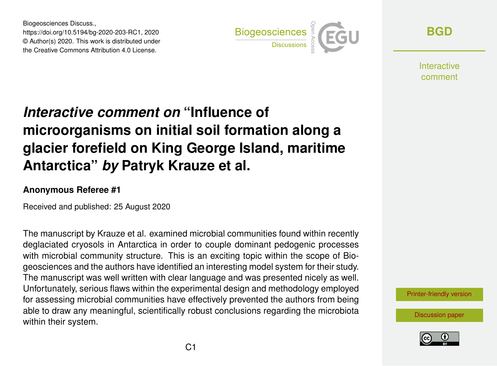Biogeosciences Discuss., https://doi.org/10.5194/bg-2020-203-RC1, 2020 © Author(s) 2020. This work is distributed under the Creative Commons Attribution 4.0 License.



**[BGD](https://bg.copernicus.org/preprints/)**

Interactive comment

## *Interactive comment on* **"Influence of microorganisms on initial soil formation along a glacier forefield on King George Island, maritime Antarctica"** *by* **Patryk Krauze et al.**

## **Anonymous Referee #1**

Received and published: 25 August 2020

The manuscript by Krauze et al. examined microbial communities found within recently deglaciated cryosols in Antarctica in order to couple dominant pedogenic processes with microbial community structure. This is an exciting topic within the scope of Biogeosciences and the authors have identified an interesting model system for their study. The manuscript was well written with clear language and was presented nicely as well. Unfortunately, serious flaws within the experimental design and methodology employed for assessing microbial communities have effectively prevented the authors from being able to draw any meaningful, scientifically robust conclusions regarding the microbiota within their system.

[Printer-friendly version](https://bg.copernicus.org/preprints/bg-2020-203/bg-2020-203-RC1-print.pdf)

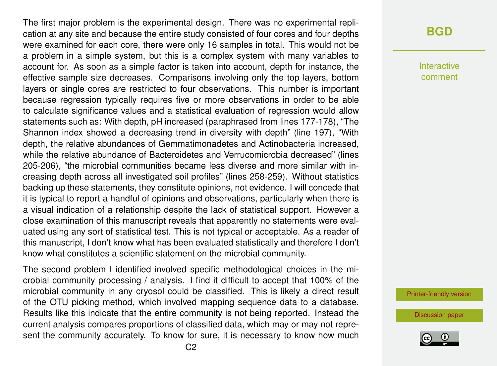The first major problem is the experimental design. There was no experimental replication at any site and because the entire study consisted of four cores and four depths were examined for each core, there were only 16 samples in total. This would not be a problem in a simple system, but this is a complex system with many variables to account for. As soon as a simple factor is taken into account, depth for instance, the effective sample size decreases. Comparisons involving only the top layers, bottom layers or single cores are restricted to four observations. This number is important because regression typically requires five or more observations in order to be able to calculate significance values and a statistical evaluation of regression would allow statements such as: With depth, pH increased (paraphrased from lines 177-178), "The Shannon index showed a decreasing trend in diversity with depth" (line 197), "With depth, the relative abundances of Gemmatimonadetes and Actinobacteria increased, while the relative abundance of Bacteroidetes and Verrucomicrobia decreased" (lines 205-206), "the microbial communities became less diverse and more similar with increasing depth across all investigated soil profiles" (lines 258-259). Without statistics backing up these statements, they constitute opinions, not evidence. I will concede that it is typical to report a handful of opinions and observations, particularly when there is a visual indication of a relationship despite the lack of statistical support. However a close examination of this manuscript reveals that apparently no statements were evaluated using any sort of statistical test. This is not typical or acceptable. As a reader of this manuscript, I don't know what has been evaluated statistically and therefore I don't know what constitutes a scientific statement on the microbial community.

The second problem I identified involved specific methodological choices in the microbial community processing / analysis. I find it difficult to accept that 100% of the microbial community in any cryosol could be classified. This is likely a direct result of the OTU picking method, which involved mapping sequence data to a database. Results like this indicate that the entire community is not being reported. Instead the current analysis compares proportions of classified data, which may or may not represent the community accurately. To know for sure, it is necessary to know how much

## **[BGD](https://bg.copernicus.org/preprints/)**

Interactive comment

[Printer-friendly version](https://bg.copernicus.org/preprints/bg-2020-203/bg-2020-203-RC1-print.pdf)

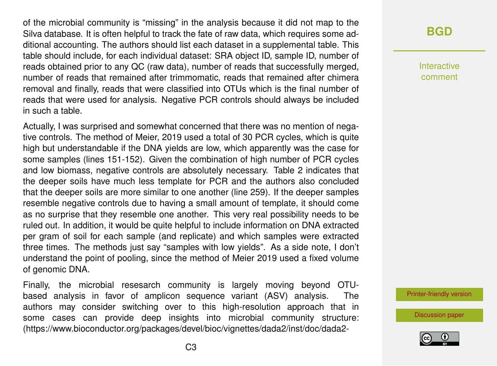of the microbial community is "missing" in the analysis because it did not map to the Silva database. It is often helpful to track the fate of raw data, which requires some additional accounting. The authors should list each dataset in a supplemental table. This table should include, for each individual dataset: SRA object ID, sample ID, number of reads obtained prior to any QC (raw data), number of reads that successfully merged, number of reads that remained after trimmomatic, reads that remained after chimera removal and finally, reads that were classified into OTUs which is the final number of reads that were used for analysis. Negative PCR controls should always be included in such a table.

Actually, I was surprised and somewhat concerned that there was no mention of negative controls. The method of Meier, 2019 used a total of 30 PCR cycles, which is quite high but understandable if the DNA yields are low, which apparently was the case for some samples (lines 151-152). Given the combination of high number of PCR cycles and low biomass, negative controls are absolutely necessary. Table 2 indicates that the deeper soils have much less template for PCR and the authors also concluded that the deeper soils are more similar to one another (line 259). If the deeper samples resemble negative controls due to having a small amount of template, it should come as no surprise that they resemble one another. This very real possibility needs to be ruled out. In addition, it would be quite helpful to include information on DNA extracted per gram of soil for each sample (and replicate) and which samples were extracted three times. The methods just say "samples with low yields". As a side note, I don't understand the point of pooling, since the method of Meier 2019 used a fixed volume of genomic DNA.

Finally, the microbial resesarch community is largely moving beyond OTUbased analysis in favor of amplicon sequence variant (ASV) analysis. The authors may consider switching over to this high-resolution approach that in some cases can provide deep insights into microbial community structure: (https://www.bioconductor.org/packages/devel/bioc/vignettes/dada2/inst/doc/dada2-

## **[BGD](https://bg.copernicus.org/preprints/)**

Interactive comment

[Printer-friendly version](https://bg.copernicus.org/preprints/bg-2020-203/bg-2020-203-RC1-print.pdf)